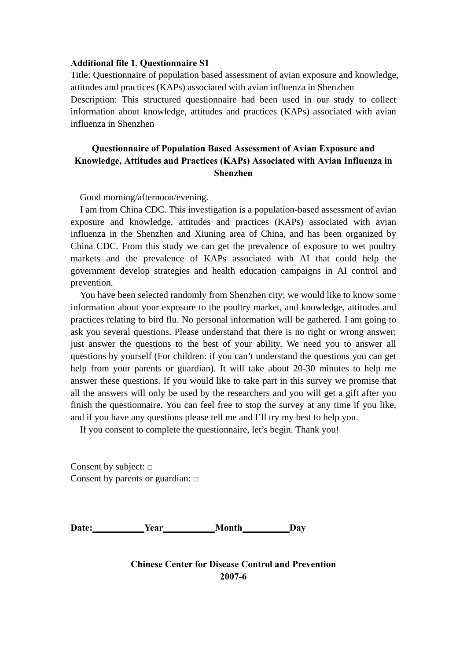#### **Additional file 1, Questionnaire S1**

Title: Questionnaire of population based assessment of avian exposure and knowledge, attitudes and practices (KAPs) associated with avian influenza in Shenzhen Description: This structured questionnaire had been used in our study to collect information about knowledge, attitudes and practices (KAPs) associated with avian influenza in Shenzhen

# **Questionnaire of Population Based Assessment of Avian Exposure and Knowledge, Attitudes and Practices (KAPs) Associated with Avian Influenza in Shenzhen**

Good morning/afternoon/evening.

I am from China CDC. This investigation is a population-based assessment of avian exposure and knowledge, attitudes and practices (KAPs) associated with avian influenza in the Shenzhen and Xiuning area of China, and has been organized by China CDC. From this study we can get the prevalence of exposure to wet poultry markets and the prevalence of KAPs associated with AI that could help the government develop strategies and health education campaigns in AI control and prevention.

You have been selected randomly from Shenzhen city; we would like to know some information about your exposure to the poultry market, and knowledge, attitudes and practices relating to bird flu. No personal information will be gathered. I am going to ask you several questions. Please understand that there is no right or wrong answer; just answer the questions to the best of your ability. We need you to answer all questions by yourself (For children: if you can't understand the questions you can get help from your parents or guardian). It will take about 20-30 minutes to help me answer these questions. If you would like to take part in this survey we promise that all the answers will only be used by the researchers and you will get a gift after you finish the questionnaire. You can feel free to stop the survey at any time if you like, and if you have any questions please tell me and I'll try my best to help you.

If you consent to complete the questionnaire, let's begin. Thank you!

Consent by subject: **□** Consent by parents or guardian: **□**

Date: **Year** Month Day

**Chinese Center for Disease Control and Prevention 2007-6**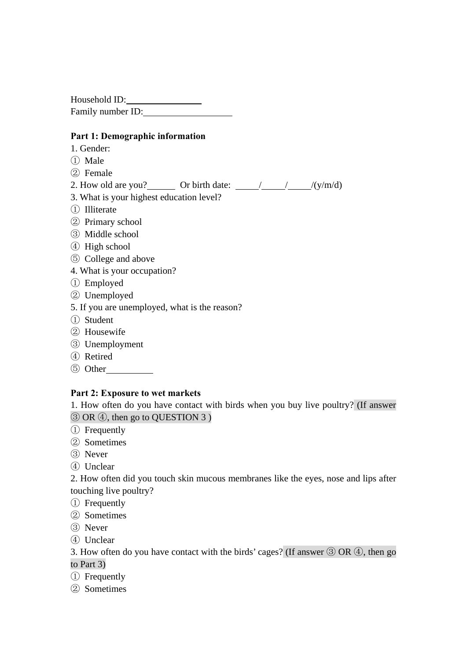Household ID: Family number ID:

### **Part 1: Demographic information**

- 1. Gender:
- Male
- Female
- 2. How old are you? Or birth date:  $\frac{1}{\sqrt{y/m/d}}$
- 3. What is your highest education level?
- Illiterate
- Primary school
- Middle school
- High school
- College and above
- 4. What is your occupation?
- Employed
- Unemployed
- 5. If you are unemployed, what is the reason?
- Student
- Housewife
- Unemployment
- Retired
- Other

## **Part 2: Exposure to wet markets**

1. How often do you have contact with birds when you buy live poultry? (If answer OR ④, then go to QUESTION 3 )

- Frequently
- Sometimes
- Never
- Unclear

2. How often did you touch skin mucous membranes like the eyes, nose and lips after touching live poultry?

- Frequently
- Sometimes
- Never
- Unclear

3. How often do you have contact with the birds' cages? (If answer ③ OR ④, then go to Part 3)

- Frequently
- Sometimes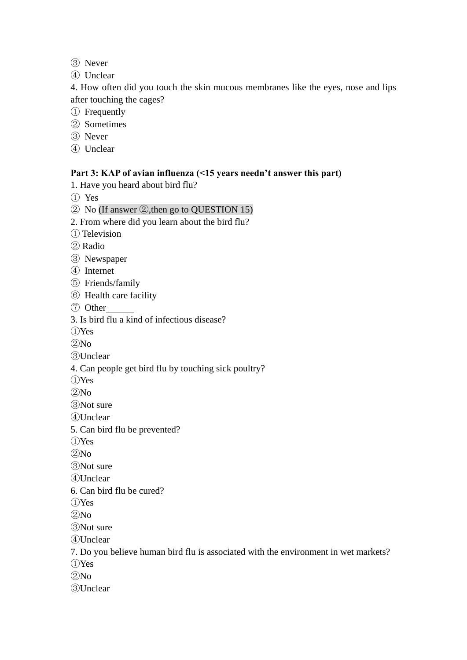- Never
- Unclear

4. How often did you touch the skin mucous membranes like the eyes, nose and lips after touching the cages?

- Frequently
- Sometimes
- Never
- Unclear

#### **Part 3: KAP of avian influenza (<15 years needn't answer this part)**

1. Have you heard about bird flu?

- Yes
- No (If answer ②,then go to QUESTION 15)
- 2. From where did you learn about the bird flu?
- Television
- Radio
- Newspaper
- Internet
- Friends/family
- Health care facility
- Other
- 3. Is bird flu a kind of infectious disease?
- Yes
- $(2)$ No
- Unclear
- 4. Can people get bird flu by touching sick poultry?
- Yes
- $(2)$ No
- Not sure
- Unclear
- 5. Can bird flu be prevented?
- Yes
- $(2)$ No
- Not sure
- Unclear
- 6. Can bird flu be cured?
- Yes
- No
- Not sure
- Unclear
- 
- 7. Do you believe human bird flu is associated with the environment in wet markets?
- Yes
- $(2)$ No
- Unclear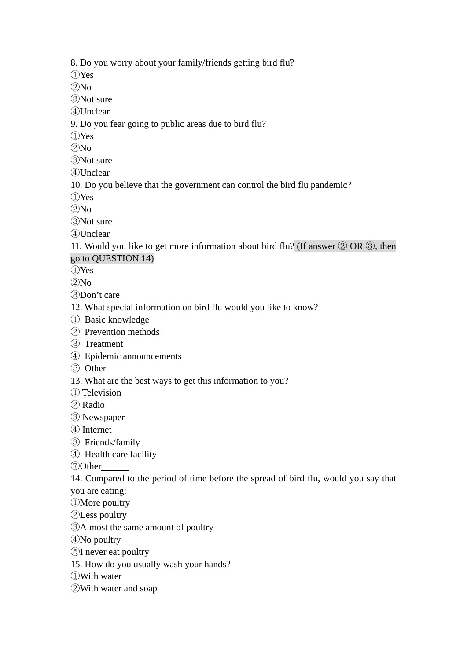8. Do you worry about your family/friends getting bird flu?

Yes

 $(2)$ No

Not sure

Unclear

9. Do you fear going to public areas due to bird flu?

Yes

 $(2)$ No

Not sure

Unclear

10. Do you believe that the government can control the bird flu pandemic?

Yes

 $(2)$ No

Not sure

Unclear

11. Would you like to get more information about bird flu? (If answer  $(2)$  OR  $(3)$ , then go to QUESTION 14)

Yes

 $(2)$ No

Don't care

- 12. What special information on bird flu would you like to know?
- Basic knowledge
- Prevention methods
- Treatment
- Epidemic announcements
- Other
- 13. What are the best ways to get this information to you?
- Television
- Radio
- Newspaper
- Internet
- Friends/family
- Health care facility

Other

14. Compared to the period of time before the spread of bird flu, would you say that you are eating:

- More poultry
- Less poultry
- Almost the same amount of poultry

No poultry

I never eat poultry

15. How do you usually wash your hands?

- With water
- With water and soap